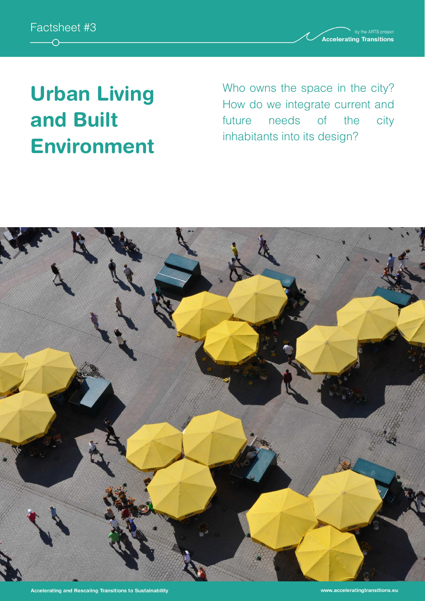

**Accelerating Transitions** 

# **Urban Living and Built Environment**

Who owns the space in the city? How do we integrate current and future needs of the city inhabitants into its design?

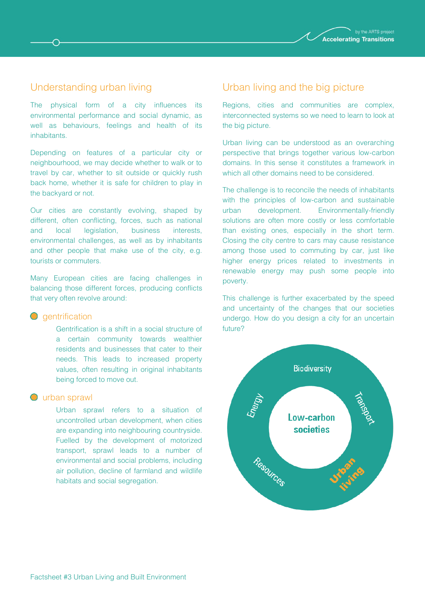

### Understanding urban living

⌒

The physical form of a city influences its environmental performance and social dynamic, as well as behaviours, feelings and health of its inhabitants.

Depending on features of a particular city or neighbourhood, we may decide whether to walk or to travel by car, whether to sit outside or quickly rush back home, whether it is safe for children to play in the backyard or not.

Our cities are constantly evolving, shaped by different, often conflicting, forces, such as national and local legislation, business interests, environmental challenges, as well as by inhabitants and other people that make use of the city, e.g. tourists or commuters.

Many European cities are facing challenges in balancing those different forces, producing conflicts that very often revolve around:

#### **Q** dentrification

Gentrification is a shift in a social structure of a certain community towards wealthier residents and businesses that cater to their needs. This leads to increased property values, often resulting in original inhabitants being forced to move out.

#### **O** urban sprawl

Urban sprawl refers to a situation of uncontrolled urban development, when cities are expanding into neighbouring countryside. Fuelled by the development of motorized transport, sprawl leads to a number of environmental and social problems, including air pollution, decline of farmland and wildlife habitats and social segregation.

#### Urban living and the big picture

Regions, cities and communities are complex, interconnected systems so we need to learn to look at the big picture.

Urban living can be understood as an overarching perspective that brings together various low-carbon domains. In this sense it constitutes a framework in which all other domains need to be considered.

The challenge is to reconcile the needs of inhabitants with the principles of low-carbon and sustainable urban development. Environmentally-friendly solutions are often more costly or less comfortable than existing ones, especially in the short term. Closing the city centre to cars may cause resistance among those used to commuting by car, just like higher energy prices related to investments in renewable energy may push some people into poverty.

This challenge is further exacerbated by the speed and uncertainty of the changes that our societies undergo. How do you design a city for an uncertain future?

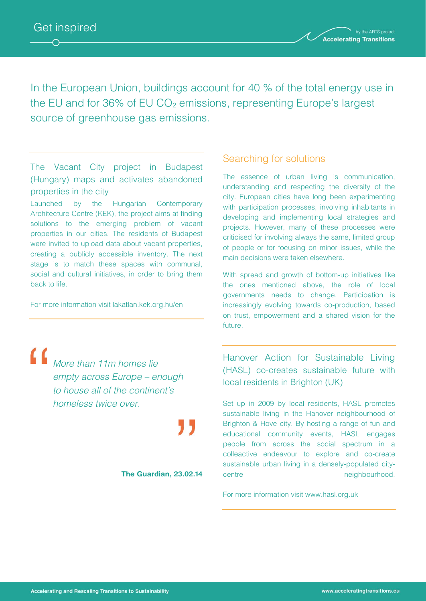



In the European Union, buildings account for 40 % of the total energy use in the EU and for  $36\%$  of EU  $CO<sub>2</sub>$  emissions, representing Europe's largest source of greenhouse gas emissions.

## The Vacant City project in Budapest (Hungary) maps and activates abandoned properties in the city

Launched by the Hungarian Contemporary Architecture Centre (KEK), the project aims at finding solutions to the emerging problem of vacant properties in our cities. The residents of Budapest were invited to upload data about vacant properties, creating a publicly accessible inventory. The next stage is to match these spaces with communal, social and cultural initiatives, in order to bring them back to life.

For more information visit lakatlan.kek.org.hu/en

*More than 11m homes lie empty across Europe – enough to house all of the continent's homeless twice over.*

**The Guardian, 23.02.14**

#### Searching for solutions

The essence of urban living is communication, understanding and respecting the diversity of the city. European cities have long been experimenting with participation processes, involving inhabitants in developing and implementing local strategies and projects. However, many of these processes were criticised for involving always the same, limited group of people or for focusing on minor issues, while the main decisions were taken elsewhere.

With spread and growth of bottom-up initiatives like the ones mentioned above, the role of local governments needs to change. Participation is increasingly evolving towards co-production, based on trust, empowerment and a shared vision for the future.

Hanover Action for Sustainable Living (HASL) co-creates sustainable future with local residents in Brighton (UK)

Set up in 2009 by local residents, HASL promotes sustainable living in the Hanover neighbourhood of Brighton & Hove city. By hosting a range of fun and educational community events, HASL engages people from across the social spectrum in a colleactive endeavour to explore and co-create sustainable urban living in a densely-populated citycentre neighbourhood.

For more information visit www.hasl.org.uk